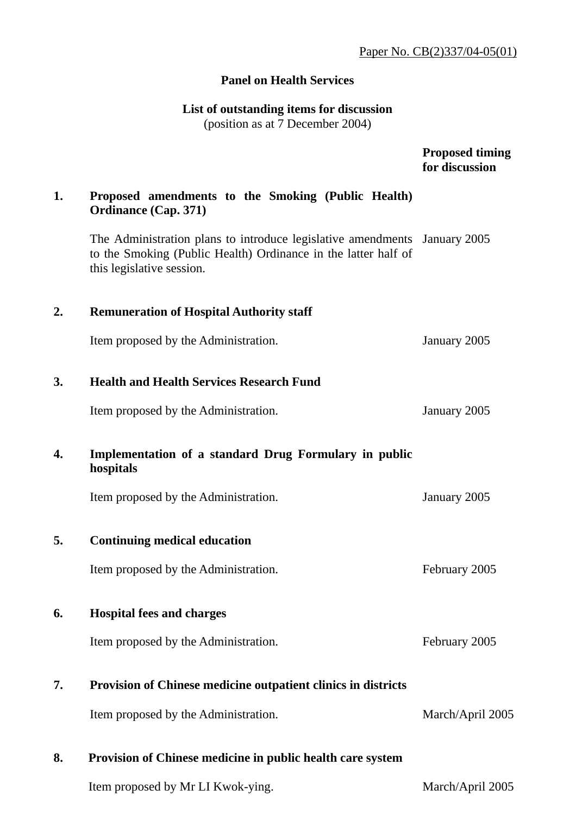## **Panel on Health Services**

# **List of outstanding items for discussion**

(position as at 7 December 2004)

|    |                                                                                                                                                                          | <b>Proposed timing</b><br>for discussion |
|----|--------------------------------------------------------------------------------------------------------------------------------------------------------------------------|------------------------------------------|
| 1. | Proposed amendments to the Smoking (Public Health)<br><b>Ordinance (Cap. 371)</b>                                                                                        |                                          |
|    | The Administration plans to introduce legislative amendments January 2005<br>to the Smoking (Public Health) Ordinance in the latter half of<br>this legislative session. |                                          |
| 2. | <b>Remuneration of Hospital Authority staff</b>                                                                                                                          |                                          |
|    | Item proposed by the Administration.                                                                                                                                     | January 2005                             |
| 3. | <b>Health and Health Services Research Fund</b>                                                                                                                          |                                          |
|    | Item proposed by the Administration.                                                                                                                                     | January 2005                             |
| 4. | Implementation of a standard Drug Formulary in public<br>hospitals                                                                                                       |                                          |
|    | Item proposed by the Administration.                                                                                                                                     | January 2005                             |
| 5. | <b>Continuing medical education</b>                                                                                                                                      |                                          |
|    | Item proposed by the Administration.                                                                                                                                     | February 2005                            |
| 6. | <b>Hospital fees and charges</b>                                                                                                                                         |                                          |
|    | Item proposed by the Administration.                                                                                                                                     | February 2005                            |
| 7. | <b>Provision of Chinese medicine outpatient clinics in districts</b>                                                                                                     |                                          |
|    | Item proposed by the Administration.                                                                                                                                     | March/April 2005                         |
| 8. | Provision of Chinese medicine in public health care system                                                                                                               |                                          |

Item proposed by Mr LI Kwok-ying. March/April 2005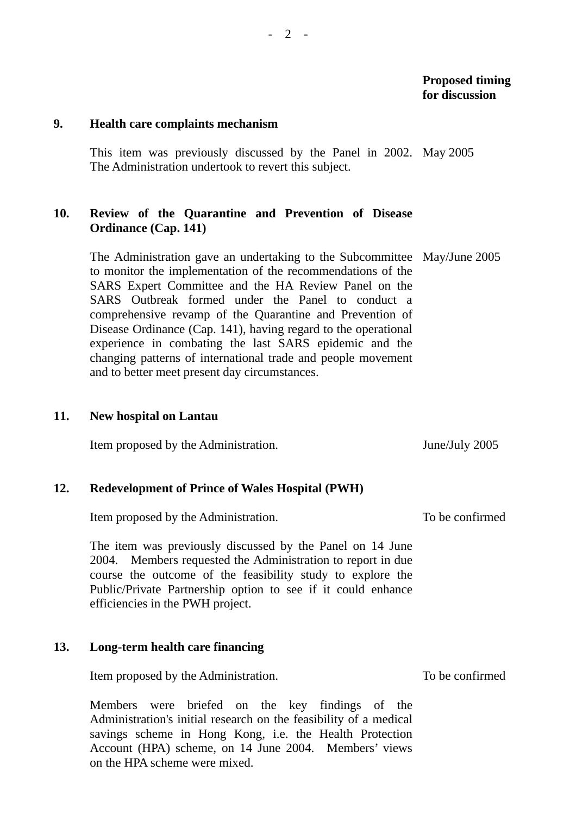#### **9. Health care complaints mechanism**

This item was previously discussed by the Panel in 2002. May 2005 The Administration undertook to revert this subject.

## **10. Review of the Quarantine and Prevention of Disease Ordinance (Cap. 141)**

The Administration gave an undertaking to the Subcommittee May/June 2005 to monitor the implementation of the recommendations of the SARS Expert Committee and the HA Review Panel on the SARS Outbreak formed under the Panel to conduct a comprehensive revamp of the Quarantine and Prevention of Disease Ordinance (Cap. 141), having regard to the operational experience in combating the last SARS epidemic and the changing patterns of international trade and people movement and to better meet present day circumstances.

#### **11. New hospital on Lantau**

Item proposed by the Administration. June/July 2005

#### **12. Redevelopment of Prince of Wales Hospital (PWH)**

Item proposed by the Administration.

The item was previously discussed by the Panel on 14 June 2004. Members requested the Administration to report in due course the outcome of the feasibility study to explore the Public/Private Partnership option to see if it could enhance efficiencies in the PWH project.

#### **13. Long-term health care financing**

Item proposed by the Administration.

Members were briefed on the key findings of the Administration's initial research on the feasibility of a medical savings scheme in Hong Kong, i.e. the Health Protection Account (HPA) scheme, on 14 June 2004. Members' views on the HPA scheme were mixed.

To be confirmed

To be confirmed